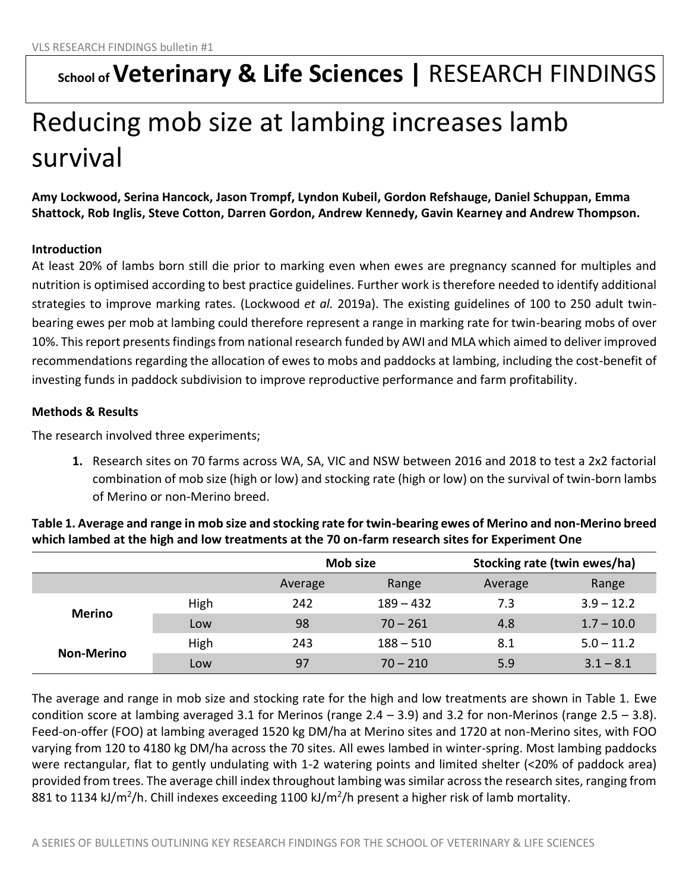## **School of Veterinary & Life Sciences |** RESEARCH FINDINGS

# Reducing mob size at lambing increases lamb survival

**Amy Lockwood, Serina Hancock, Jason Trompf, Lyndon Kubeil, Gordon Refshauge, Daniel Schuppan, Emma Shattock, Rob Inglis, Steve Cotton, Darren Gordon, Andrew Kennedy, Gavin Kearney and Andrew Thompson.**

## **Introduction**

At least 20% of lambs born still die prior to marking even when ewes are pregnancy scanned for multiples and nutrition is optimised according to best practice guidelines. Further work is therefore needed to identify additional strategies to improve marking rates. (Lockwood *et al.* 2019a). The existing guidelines of 100 to 250 adult twinbearing ewes per mob at lambing could therefore represent a range in marking rate for twin-bearing mobs of over 10%. This report presents findings from national research funded by AWI and MLA which aimed to deliver improved recommendations regarding the allocation of ewes to mobs and paddocks at lambing, including the cost-benefit of investing funds in paddock subdivision to improve reproductive performance and farm profitability.

## **Methods & Results**

The research involved three experiments;

**1.** Research sites on 70 farms across WA, SA, VIC and NSW between 2016 and 2018 to test a 2x2 factorial combination of mob size (high or low) and stocking rate (high or low) on the survival of twin-born lambs of Merino or non-Merino breed.

|                   |      | Mob size |             | Stocking rate (twin ewes/ha) |              |  |
|-------------------|------|----------|-------------|------------------------------|--------------|--|
|                   |      | Average  | Range       | Average                      | Range        |  |
| <b>Merino</b>     | High | 242      | $189 - 432$ | 7.3                          | $3.9 - 12.2$ |  |
|                   | Low  | 98       | $70 - 261$  | 4.8                          | $1.7 - 10.0$ |  |
| <b>Non-Merino</b> | High | 243      | $188 - 510$ | 8.1                          | $5.0 - 11.2$ |  |
|                   | Low  | 97       | $70 - 210$  | 5.9                          | $3.1 - 8.1$  |  |

**Table 1. Average and range in mob size and stocking rate for twin-bearing ewes of Merino and non-Merino breed which lambed at the high and low treatments at the 70 on-farm research sites for Experiment One**

The average and range in mob size and stocking rate for the high and low treatments are shown in Table 1. Ewe condition score at lambing averaged 3.1 for Merinos (range 2.4 – 3.9) and 3.2 for non-Merinos (range 2.5 – 3.8). Feed-on-offer (FOO) at lambing averaged 1520 kg DM/ha at Merino sites and 1720 at non-Merino sites, with FOO varying from 120 to 4180 kg DM/ha across the 70 sites. All ewes lambed in winter-spring. Most lambing paddocks were rectangular, flat to gently undulating with 1-2 watering points and limited shelter (<20% of paddock area) provided from trees. The average chill index throughout lambing was similar across the research sites, ranging from 881 to 1134 kJ/m<sup>2</sup>/h. Chill indexes exceeding 1100 kJ/m<sup>2</sup>/h present a higher risk of lamb mortality.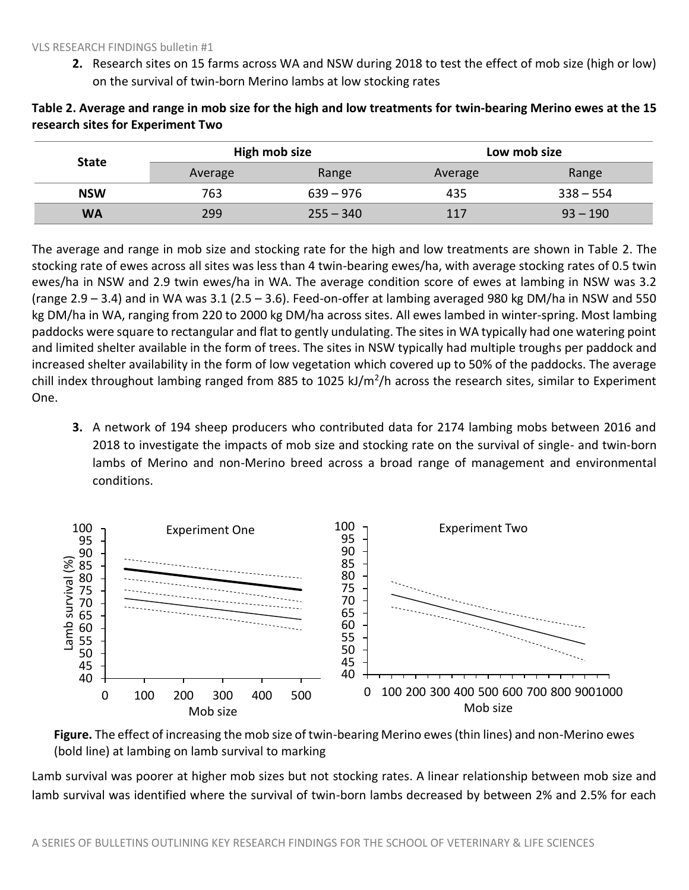**2.** Research sites on 15 farms across WA and NSW during 2018 to test the effect of mob size (high or low) on the survival of twin-born Merino lambs at low stocking rates

| <b>State</b> | High mob size |             | Low mob size |             |  |
|--------------|---------------|-------------|--------------|-------------|--|
|              | Average       | Range       | Average      | Range       |  |
| <b>NSW</b>   | 763           | $639 - 976$ | 435          | $338 - 554$ |  |
| <b>WA</b>    | 299           | $255 - 340$ | 117          | $93 - 190$  |  |

**Table 2. Average and range in mob size for the high and low treatments for twin-bearing Merino ewes at the 15 research sites for Experiment Two**

The average and range in mob size and stocking rate for the high and low treatments are shown in Table 2. The stocking rate of ewes across all sites was less than 4 twin-bearing ewes/ha, with average stocking rates of 0.5 twin ewes/ha in NSW and 2.9 twin ewes/ha in WA. The average condition score of ewes at lambing in NSW was 3.2 (range 2.9 – 3.4) and in WA was 3.1 (2.5 – 3.6). Feed-on-offer at lambing averaged 980 kg DM/ha in NSW and 550 kg DM/ha in WA, ranging from 220 to 2000 kg DM/ha across sites. All ewes lambed in winter-spring. Most lambing paddocks were square to rectangular and flat to gently undulating. The sites in WA typically had one watering point and limited shelter available in the form of trees. The sites in NSW typically had multiple troughs per paddock and increased shelter availability in the form of low vegetation which covered up to 50% of the paddocks. The average chill index throughout lambing ranged from 885 to 1025 kJ/m<sup>2</sup>/h across the research sites, similar to Experiment One.

**3.** A network of 194 sheep producers who contributed data for 2174 lambing mobs between 2016 and 2018 to investigate the impacts of mob size and stocking rate on the survival of single- and twin-born lambs of Merino and non-Merino breed across a broad range of management and environmental conditions.



**Figure.** The effect of increasing the mob size of twin-bearing Merino ewes (thin lines) and non-Merino ewes (bold line) at lambing on lamb survival to marking

Lamb survival was poorer at higher mob sizes but not stocking rates. A linear relationship between mob size and lamb survival was identified where the survival of twin-born lambs decreased by between 2% and 2.5% for each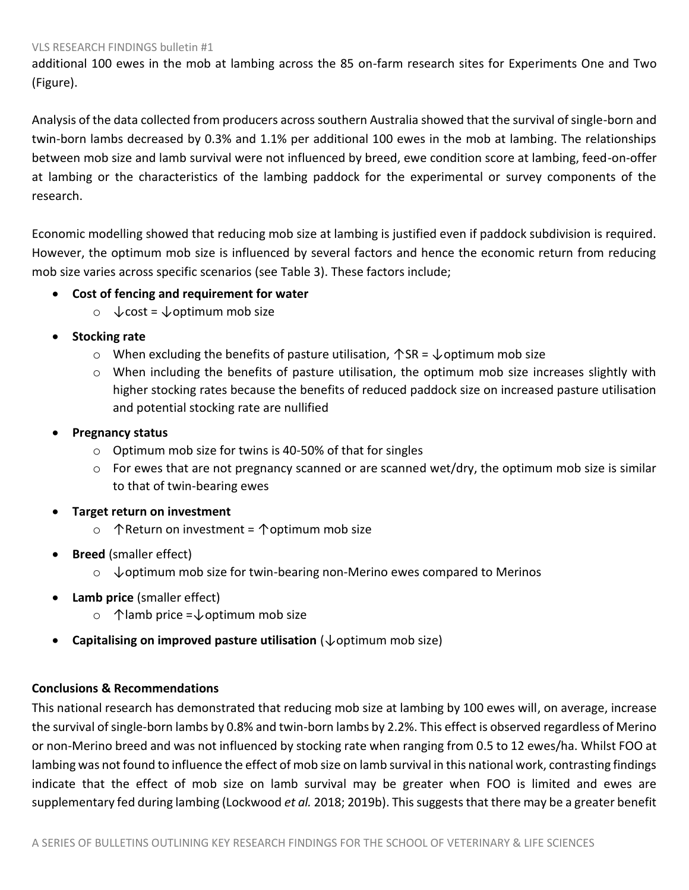#### VLS RESEARCH FINDINGS bulletin #1

additional 100 ewes in the mob at lambing across the 85 on-farm research sites for Experiments One and Two (Figure).

Analysis of the data collected from producers across southern Australia showed that the survival of single-born and twin-born lambs decreased by 0.3% and 1.1% per additional 100 ewes in the mob at lambing. The relationships between mob size and lamb survival were not influenced by breed, ewe condition score at lambing, feed-on-offer at lambing or the characteristics of the lambing paddock for the experimental or survey components of the research.

Economic modelling showed that reducing mob size at lambing is justified even if paddock subdivision is required. However, the optimum mob size is influenced by several factors and hence the economic return from reducing mob size varies across specific scenarios (see Table 3). These factors include;

### • **Cost of fencing and requirement for water**

- o  $\sqrt{\cosh} = \sqrt{\cosh(m)}$  mob size
- **Stocking rate** 
	- o When excluding the benefits of pasture utilisation,  $\uparrow$  SR =  $\downarrow$  optimum mob size
	- o When including the benefits of pasture utilisation, the optimum mob size increases slightly with higher stocking rates because the benefits of reduced paddock size on increased pasture utilisation and potential stocking rate are nullified
- **Pregnancy status**
	- o Optimum mob size for twins is 40-50% of that for singles
	- $\circ$  For ewes that are not pregnancy scanned or are scanned wet/dry, the optimum mob size is similar to that of twin-bearing ewes
- **Target return on investment** 
	- o ↑Return on investment = ↑optimum mob size
- **Breed** (smaller effect)
	- o ↓optimum mob size for twin-bearing non-Merino ewes compared to Merinos
- **Lamb price** (smaller effect)
	- o ↑lamb price =↓optimum mob size
- **Capitalising on improved pasture utilisation** (↓optimum mob size)

#### **Conclusions & Recommendations**

This national research has demonstrated that reducing mob size at lambing by 100 ewes will, on average, increase the survival of single-born lambs by 0.8% and twin-born lambs by 2.2%. This effect is observed regardless of Merino or non-Merino breed and was not influenced by stocking rate when ranging from 0.5 to 12 ewes/ha. Whilst FOO at lambing was not found to influence the effect of mob size on lamb survival in this national work, contrasting findings indicate that the effect of mob size on lamb survival may be greater when FOO is limited and ewes are supplementary fed during lambing (Lockwood *et al.* 2018; 2019b). This suggests that there may be a greater benefit